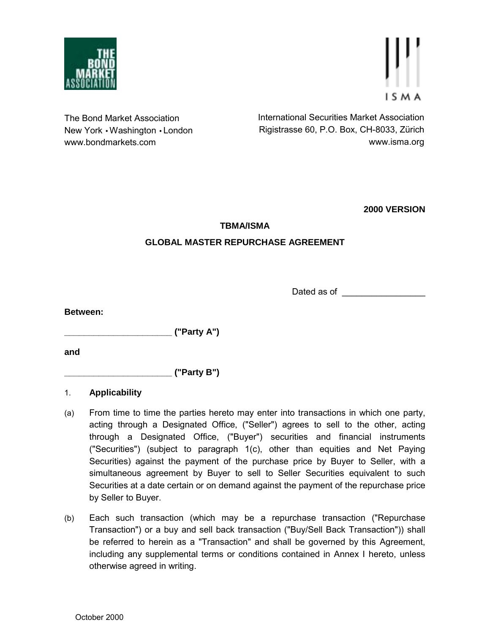



The Bond Market Association New York • Washington • London www.bondmarkets.com

International Securities Market Association Rigistrasse 60, P.O. Box, CH-8033, Zürich www.isma.org

**2000 VERSION**

# **TBMA/ISMA GLOBAL MASTER REPURCHASE AGREEMENT**

Dated as of **Dates** 

**Between:**

**\_\_\_\_\_\_\_\_\_\_\_\_\_\_\_\_\_\_\_\_\_\_ ("Party A")**

**and**

**\_\_\_\_\_\_\_\_\_\_\_\_\_\_\_\_\_\_\_\_\_\_ ("Party B")**

# 1. **Applicability**

- (a) From time to time the parties hereto may enter into transactions in which one party, acting through a Designated Office, ("Seller") agrees to sell to the other, acting through a Designated Office, ("Buyer") securities and financial instruments ("Securities") (subject to paragraph 1(c), other than equities and Net Paying Securities) against the payment of the purchase price by Buyer to Seller, with a simultaneous agreement by Buyer to sell to Seller Securities equivalent to such Securities at a date certain or on demand against the payment of the repurchase price by Seller to Buyer.
- (b) Each such transaction (which may be a repurchase transaction ("Repurchase Transaction") or a buy and sell back transaction ("Buy/Sell Back Transaction")) shall be referred to herein as a "Transaction" and shall be governed by this Agreement, including any supplemental terms or conditions contained in Annex I hereto, unless otherwise agreed in writing.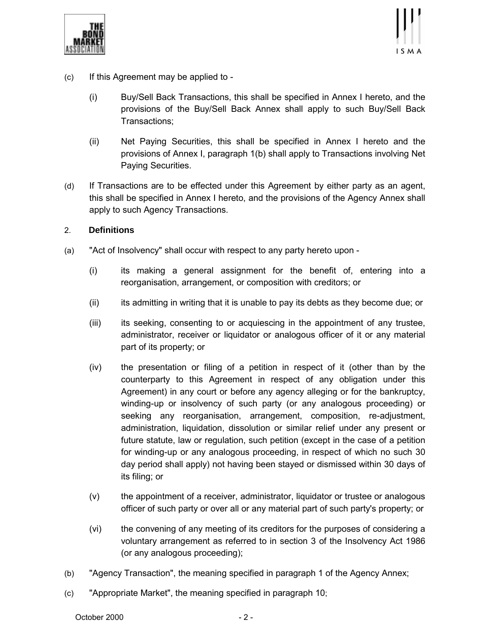

- (c) If this Agreement may be applied to
	- (i) Buy/Sell Back Transactions, this shall be specified in Annex I hereto, and the provisions of the Buy/Sell Back Annex shall apply to such Buy/Sell Back Transactions;
	- (ii) Net Paying Securities, this shall be specified in Annex I hereto and the provisions of Annex I, paragraph 1(b) shall apply to Transactions involving Net Paying Securities.
- (d) If Transactions are to be effected under this Agreement by either party as an agent, this shall be specified in Annex I hereto, and the provisions of the Agency Annex shall apply to such Agency Transactions.

#### 2. **Definitions**

- (a) "Act of Insolvency" shall occur with respect to any party hereto upon
	- (i) its making a general assignment for the benefit of, entering into a reorganisation, arrangement, or composition with creditors; or
	- (ii) its admitting in writing that it is unable to pay its debts as they become due; or
	- (iii) its seeking, consenting to or acquiescing in the appointment of any trustee, administrator, receiver or liquidator or analogous officer of it or any material part of its property; or
	- (iv) the presentation or filing of a petition in respect of it (other than by the counterparty to this Agreement in respect of any obligation under this Agreement) in any court or before any agency alleging or for the bankruptcy, winding-up or insolvency of such party (or any analogous proceeding) or seeking any reorganisation, arrangement, composition, re-adjustment, administration, liquidation, dissolution or similar relief under any present or future statute, law or regulation, such petition (except in the case of a petition for winding-up or any analogous proceeding, in respect of which no such 30 day period shall apply) not having been stayed or dismissed within 30 days of its filing; or
	- (v) the appointment of a receiver, administrator, liquidator or trustee or analogous officer of such party or over all or any material part of such party's property; or
	- (vi) the convening of any meeting of its creditors for the purposes of considering a voluntary arrangement as referred to in section 3 of the Insolvency Act 1986 (or any analogous proceeding);
- (b) "Agency Transaction", the meaning specified in paragraph 1 of the Agency Annex;
- (c) "Appropriate Market", the meaning specified in paragraph 10;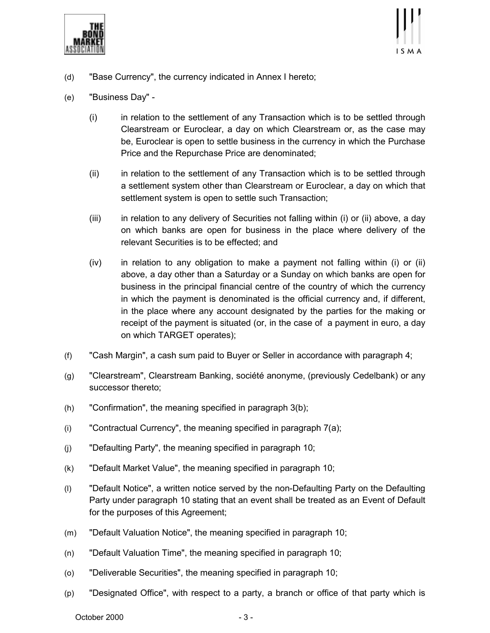

- (d) "Base Currency", the currency indicated in Annex I hereto;
- (e) "Business Day"
	- (i) in relation to the settlement of any Transaction which is to be settled through Clearstream or Euroclear, a day on which Clearstream or, as the case may be, Euroclear is open to settle business in the currency in which the Purchase Price and the Repurchase Price are denominated;
	- (ii) in relation to the settlement of any Transaction which is to be settled through a settlement system other than Clearstream or Euroclear, a day on which that settlement system is open to settle such Transaction;
	- $(iii)$  in relation to any delivery of Securities not falling within  $(i)$  or  $(ii)$  above, a day on which banks are open for business in the place where delivery of the relevant Securities is to be effected; and
	- (iv) in relation to any obligation to make a payment not falling within (i) or (ii) above, a day other than a Saturday or a Sunday on which banks are open for business in the principal financial centre of the country of which the currency in which the payment is denominated is the official currency and, if different, in the place where any account designated by the parties for the making or receipt of the payment is situated (or, in the case of a payment in euro, a day on which TARGET operates);
- (f) "Cash Margin", a cash sum paid to Buyer or Seller in accordance with paragraph 4;
- (g) "Clearstream", Clearstream Banking, société anonyme, (previously Cedelbank) or any successor thereto;
- (h) "Confirmation", the meaning specified in paragraph 3(b);
- (i) "Contractual Currency", the meaning specified in paragraph 7(a);
- (j) "Defaulting Party", the meaning specified in paragraph 10;
- (k) "Default Market Value", the meaning specified in paragraph 10;
- (l) "Default Notice", a written notice served by the non-Defaulting Party on the Defaulting Party under paragraph 10 stating that an event shall be treated as an Event of Default for the purposes of this Agreement;
- (m) "Default Valuation Notice", the meaning specified in paragraph 10;
- (n) "Default Valuation Time", the meaning specified in paragraph 10;
- (o) "Deliverable Securities", the meaning specified in paragraph 10;
- (p) "Designated Office", with respect to a party, a branch or office of that party which is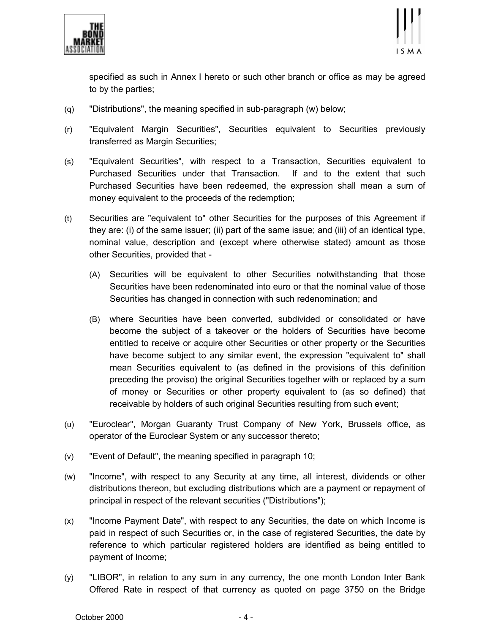

specified as such in Annex I hereto or such other branch or office as may be agreed to by the parties;

- (q) "Distributions", the meaning specified in sub-paragraph (w) below;
- (r) "Equivalent Margin Securities", Securities equivalent to Securities previously transferred as Margin Securities;
- (s) "Equivalent Securities", with respect to a Transaction, Securities equivalent to Purchased Securities under that Transaction. If and to the extent that such Purchased Securities have been redeemed, the expression shall mean a sum of money equivalent to the proceeds of the redemption;
- (t) Securities are "equivalent to" other Securities for the purposes of this Agreement if they are: (i) of the same issuer; (ii) part of the same issue; and (iii) of an identical type, nominal value, description and (except where otherwise stated) amount as those other Securities, provided that -
	- (A) Securities will be equivalent to other Securities notwithstanding that those Securities have been redenominated into euro or that the nominal value of those Securities has changed in connection with such redenomination; and
	- (B) where Securities have been converted, subdivided or consolidated or have become the subject of a takeover or the holders of Securities have become entitled to receive or acquire other Securities or other property or the Securities have become subject to any similar event, the expression "equivalent to" shall mean Securities equivalent to (as defined in the provisions of this definition preceding the proviso) the original Securities together with or replaced by a sum of money or Securities or other property equivalent to (as so defined) that receivable by holders of such original Securities resulting from such event;
- (u) "Euroclear", Morgan Guaranty Trust Company of New York, Brussels office, as operator of the Euroclear System or any successor thereto;
- (v) "Event of Default", the meaning specified in paragraph 10;
- (w) "Income", with respect to any Security at any time, all interest, dividends or other distributions thereon, but excluding distributions which are a payment or repayment of principal in respect of the relevant securities ("Distributions");
- (x) "Income Payment Date", with respect to any Securities, the date on which Income is paid in respect of such Securities or, in the case of registered Securities, the date by reference to which particular registered holders are identified as being entitled to payment of Income;
- (y) "LIBOR", in relation to any sum in any currency, the one month London Inter Bank Offered Rate in respect of that currency as quoted on page 3750 on the Bridge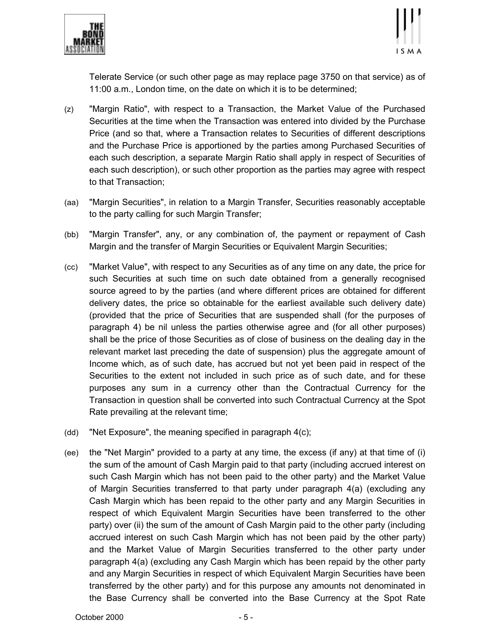

Telerate Service (or such other page as may replace page 3750 on that service) as of 11:00 a.m., London time, on the date on which it is to be determined;

- (z) "Margin Ratio", with respect to a Transaction, the Market Value of the Purchased Securities at the time when the Transaction was entered into divided by the Purchase Price (and so that, where a Transaction relates to Securities of different descriptions and the Purchase Price is apportioned by the parties among Purchased Securities of each such description, a separate Margin Ratio shall apply in respect of Securities of each such description), or such other proportion as the parties may agree with respect to that Transaction;
- (aa) "Margin Securities", in relation to a Margin Transfer, Securities reasonably acceptable to the party calling for such Margin Transfer;
- (bb) "Margin Transfer", any, or any combination of, the payment or repayment of Cash Margin and the transfer of Margin Securities or Equivalent Margin Securities;
- (cc) "Market Value", with respect to any Securities as of any time on any date, the price for such Securities at such time on such date obtained from a generally recognised source agreed to by the parties (and where different prices are obtained for different delivery dates, the price so obtainable for the earliest available such delivery date) (provided that the price of Securities that are suspended shall (for the purposes of paragraph 4) be nil unless the parties otherwise agree and (for all other purposes) shall be the price of those Securities as of close of business on the dealing day in the relevant market last preceding the date of suspension) plus the aggregate amount of Income which, as of such date, has accrued but not yet been paid in respect of the Securities to the extent not included in such price as of such date, and for these purposes any sum in a currency other than the Contractual Currency for the Transaction in question shall be converted into such Contractual Currency at the Spot Rate prevailing at the relevant time;
- (dd) "Net Exposure", the meaning specified in paragraph 4(c);
- (ee) the "Net Margin" provided to a party at any time, the excess (if any) at that time of (i) the sum of the amount of Cash Margin paid to that party (including accrued interest on such Cash Margin which has not been paid to the other party) and the Market Value of Margin Securities transferred to that party under paragraph 4(a) (excluding any Cash Margin which has been repaid to the other party and any Margin Securities in respect of which Equivalent Margin Securities have been transferred to the other party) over (ii) the sum of the amount of Cash Margin paid to the other party (including accrued interest on such Cash Margin which has not been paid by the other party) and the Market Value of Margin Securities transferred to the other party under paragraph 4(a) (excluding any Cash Margin which has been repaid by the other party and any Margin Securities in respect of which Equivalent Margin Securities have been transferred by the other party) and for this purpose any amounts not denominated in the Base Currency shall be converted into the Base Currency at the Spot Rate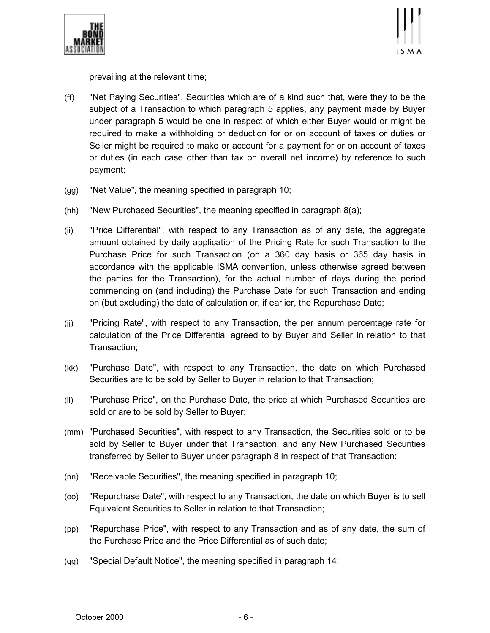

prevailing at the relevant time;

- (ff) "Net Paying Securities", Securities which are of a kind such that, were they to be the subject of a Transaction to which paragraph 5 applies, any payment made by Buyer under paragraph 5 would be one in respect of which either Buyer would or might be required to make a withholding or deduction for or on account of taxes or duties or Seller might be required to make or account for a payment for or on account of taxes or duties (in each case other than tax on overall net income) by reference to such payment;
- (gg) "Net Value", the meaning specified in paragraph 10;
- (hh) "New Purchased Securities", the meaning specified in paragraph 8(a);
- (ii) "Price Differential", with respect to any Transaction as of any date, the aggregate amount obtained by daily application of the Pricing Rate for such Transaction to the Purchase Price for such Transaction (on a 360 day basis or 365 day basis in accordance with the applicable ISMA convention, unless otherwise agreed between the parties for the Transaction), for the actual number of days during the period commencing on (and including) the Purchase Date for such Transaction and ending on (but excluding) the date of calculation or, if earlier, the Repurchase Date;
- (jj) "Pricing Rate", with respect to any Transaction, the per annum percentage rate for calculation of the Price Differential agreed to by Buyer and Seller in relation to that Transaction;
- (kk) "Purchase Date", with respect to any Transaction, the date on which Purchased Securities are to be sold by Seller to Buyer in relation to that Transaction;
- (ll) "Purchase Price", on the Purchase Date, the price at which Purchased Securities are sold or are to be sold by Seller to Buyer;
- (mm) "Purchased Securities", with respect to any Transaction, the Securities sold or to be sold by Seller to Buyer under that Transaction, and any New Purchased Securities transferred by Seller to Buyer under paragraph 8 in respect of that Transaction;
- (nn) "Receivable Securities", the meaning specified in paragraph 10;
- (oo) "Repurchase Date", with respect to any Transaction, the date on which Buyer is to sell Equivalent Securities to Seller in relation to that Transaction;
- (pp) "Repurchase Price", with respect to any Transaction and as of any date, the sum of the Purchase Price and the Price Differential as of such date;
- (qq) "Special Default Notice", the meaning specified in paragraph 14;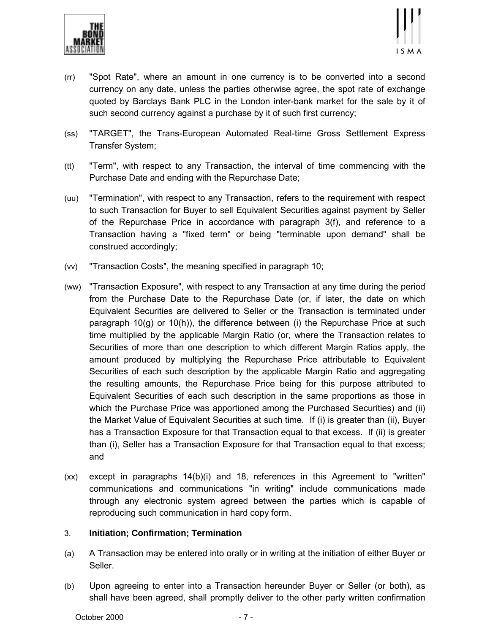

- (rr) "Spot Rate", where an amount in one currency is to be converted into a second currency on any date, unless the parties otherwise agree, the spot rate of exchange quoted by Barclays Bank PLC in the London inter-bank market for the sale by it of such second currency against a purchase by it of such first currency;
- (ss) "TARGET", the Trans-European Automated Real-time Gross Settlement Express Transfer System;
- (tt) "Term", with respect to any Transaction, the interval of time commencing with the Purchase Date and ending with the Repurchase Date;
- (uu) "Termination", with respect to any Transaction, refers to the requirement with respect to such Transaction for Buyer to sell Equivalent Securities against payment by Seller of the Repurchase Price in accordance with paragraph 3(f), and reference to a Transaction having a "fixed term" or being "terminable upon demand" shall be construed accordingly;
- (vv) "Transaction Costs", the meaning specified in paragraph 10;
- (ww) "Transaction Exposure", with respect to any Transaction at any time during the period from the Purchase Date to the Repurchase Date (or, if later, the date on which Equivalent Securities are delivered to Seller or the Transaction is terminated under paragraph 10(g) or 10(h)), the difference between (i) the Repurchase Price at such time multiplied by the applicable Margin Ratio (or, where the Transaction relates to Securities of more than one description to which different Margin Ratios apply, the amount produced by multiplying the Repurchase Price attributable to Equivalent Securities of each such description by the applicable Margin Ratio and aggregating the resulting amounts, the Repurchase Price being for this purpose attributed to Equivalent Securities of each such description in the same proportions as those in which the Purchase Price was apportioned among the Purchased Securities) and (ii) the Market Value of Equivalent Securities at such time. If (i) is greater than (ii), Buyer has a Transaction Exposure for that Transaction equal to that excess. If (ii) is greater than (i), Seller has a Transaction Exposure for that Transaction equal to that excess; and
- (xx) except in paragraphs 14(b)(i) and 18, references in this Agreement to "written" communications and communications "in writing" include communications made through any electronic system agreed between the parties which is capable of reproducing such communication in hard copy form.

#### 3. **Initiation; Confirmation; Termination**

- (a) A Transaction may be entered into orally or in writing at the initiation of either Buyer or Seller.
- (b) Upon agreeing to enter into a Transaction hereunder Buyer or Seller (or both), as shall have been agreed, shall promptly deliver to the other party written confirmation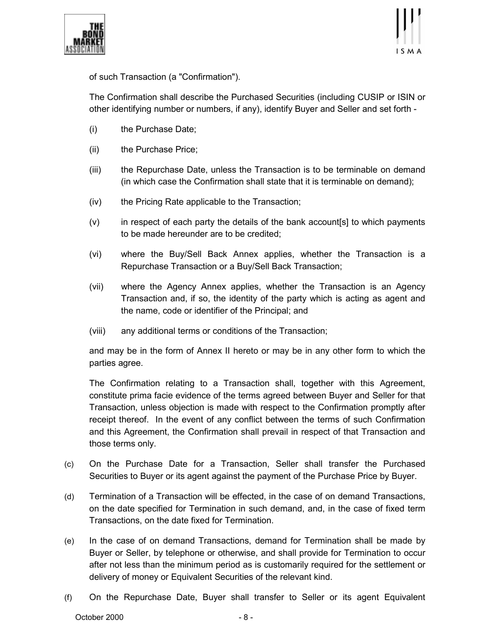

of such Transaction (a "Confirmation").

The Confirmation shall describe the Purchased Securities (including CUSIP or ISIN or other identifying number or numbers, if any), identify Buyer and Seller and set forth -

- (i) the Purchase Date;
- (ii) the Purchase Price;
- (iii) the Repurchase Date, unless the Transaction is to be terminable on demand (in which case the Confirmation shall state that it is terminable on demand);
- (iv) the Pricing Rate applicable to the Transaction;
- (v) in respect of each party the details of the bank account[s] to which payments to be made hereunder are to be credited;
- (vi) where the Buy/Sell Back Annex applies, whether the Transaction is a Repurchase Transaction or a Buy/Sell Back Transaction;
- (vii) where the Agency Annex applies, whether the Transaction is an Agency Transaction and, if so, the identity of the party which is acting as agent and the name, code or identifier of the Principal; and
- (viii) any additional terms or conditions of the Transaction;

and may be in the form of Annex II hereto or may be in any other form to which the parties agree.

The Confirmation relating to a Transaction shall, together with this Agreement, constitute prima facie evidence of the terms agreed between Buyer and Seller for that Transaction, unless objection is made with respect to the Confirmation promptly after receipt thereof. In the event of any conflict between the terms of such Confirmation and this Agreement, the Confirmation shall prevail in respect of that Transaction and those terms only.

- (c) On the Purchase Date for a Transaction, Seller shall transfer the Purchased Securities to Buyer or its agent against the payment of the Purchase Price by Buyer.
- (d) Termination of a Transaction will be effected, in the case of on demand Transactions, on the date specified for Termination in such demand, and, in the case of fixed term Transactions, on the date fixed for Termination.
- (e) In the case of on demand Transactions, demand for Termination shall be made by Buyer or Seller, by telephone or otherwise, and shall provide for Termination to occur after not less than the minimum period as is customarily required for the settlement or delivery of money or Equivalent Securities of the relevant kind.
- (f) On the Repurchase Date, Buyer shall transfer to Seller or its agent Equivalent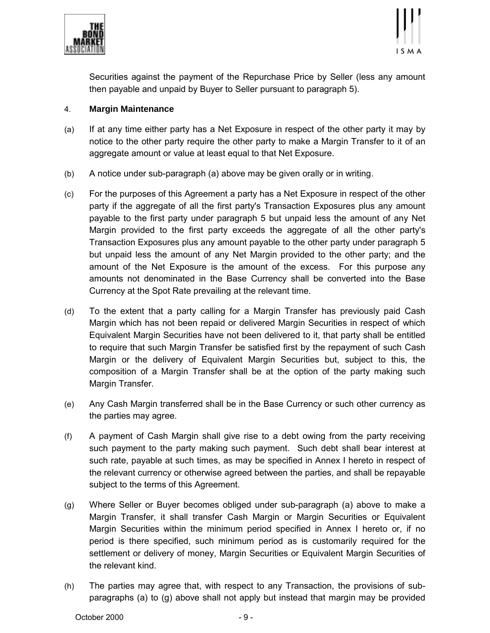

Securities against the payment of the Repurchase Price by Seller (less any amount then payable and unpaid by Buyer to Seller pursuant to paragraph 5).

## 4. **Margin Maintenance**

- (a) If at any time either party has a Net Exposure in respect of the other party it may by notice to the other party require the other party to make a Margin Transfer to it of an aggregate amount or value at least equal to that Net Exposure.
- (b) A notice under sub-paragraph (a) above may be given orally or in writing.
- (c) For the purposes of this Agreement a party has a Net Exposure in respect of the other party if the aggregate of all the first party's Transaction Exposures plus any amount payable to the first party under paragraph 5 but unpaid less the amount of any Net Margin provided to the first party exceeds the aggregate of all the other party's Transaction Exposures plus any amount payable to the other party under paragraph 5 but unpaid less the amount of any Net Margin provided to the other party; and the amount of the Net Exposure is the amount of the excess. For this purpose any amounts not denominated in the Base Currency shall be converted into the Base Currency at the Spot Rate prevailing at the relevant time.
- (d) To the extent that a party calling for a Margin Transfer has previously paid Cash Margin which has not been repaid or delivered Margin Securities in respect of which Equivalent Margin Securities have not been delivered to it, that party shall be entitled to require that such Margin Transfer be satisfied first by the repayment of such Cash Margin or the delivery of Equivalent Margin Securities but, subject to this, the composition of a Margin Transfer shall be at the option of the party making such Margin Transfer.
- (e) Any Cash Margin transferred shall be in the Base Currency or such other currency as the parties may agree.
- (f) A payment of Cash Margin shall give rise to a debt owing from the party receiving such payment to the party making such payment. Such debt shall bear interest at such rate, payable at such times, as may be specified in Annex I hereto in respect of the relevant currency or otherwise agreed between the parties, and shall be repayable subject to the terms of this Agreement.
- (g) Where Seller or Buyer becomes obliged under sub-paragraph (a) above to make a Margin Transfer, it shall transfer Cash Margin or Margin Securities or Equivalent Margin Securities within the minimum period specified in Annex I hereto or, if no period is there specified, such minimum period as is customarily required for the settlement or delivery of money, Margin Securities or Equivalent Margin Securities of the relevant kind.
- (h) The parties may agree that, with respect to any Transaction, the provisions of subparagraphs (a) to (g) above shall not apply but instead that margin may be provided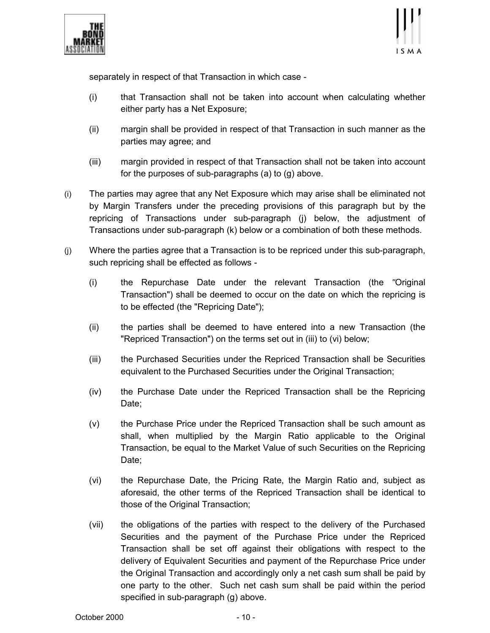

separately in respect of that Transaction in which case -

- (i) that Transaction shall not be taken into account when calculating whether either party has a Net Exposure;
- (ii) margin shall be provided in respect of that Transaction in such manner as the parties may agree; and
- (iii) margin provided in respect of that Transaction shall not be taken into account for the purposes of sub-paragraphs (a) to (g) above.
- (i) The parties may agree that any Net Exposure which may arise shall be eliminated not by Margin Transfers under the preceding provisions of this paragraph but by the repricing of Transactions under sub-paragraph (j) below, the adjustment of Transactions under sub-paragraph (k) below or a combination of both these methods.
- (j) Where the parties agree that a Transaction is to be repriced under this sub-paragraph, such repricing shall be effected as follows -
	- (i) the Repurchase Date under the relevant Transaction (the *"*Original Transaction") shall be deemed to occur on the date on which the repricing is to be effected (the "Repricing Date");
	- (ii) the parties shall be deemed to have entered into a new Transaction (the "Repriced Transaction") on the terms set out in (iii) to (vi) below;
	- (iii) the Purchased Securities under the Repriced Transaction shall be Securities equivalent to the Purchased Securities under the Original Transaction;
	- (iv) the Purchase Date under the Repriced Transaction shall be the Repricing Date:
	- (v) the Purchase Price under the Repriced Transaction shall be such amount as shall, when multiplied by the Margin Ratio applicable to the Original Transaction, be equal to the Market Value of such Securities on the Repricing Date;
	- (vi) the Repurchase Date, the Pricing Rate, the Margin Ratio and, subject as aforesaid, the other terms of the Repriced Transaction shall be identical to those of the Original Transaction;
	- (vii) the obligations of the parties with respect to the delivery of the Purchased Securities and the payment of the Purchase Price under the Repriced Transaction shall be set off against their obligations with respect to the delivery of Equivalent Securities and payment of the Repurchase Price under the Original Transaction and accordingly only a net cash sum shall be paid by one party to the other. Such net cash sum shall be paid within the period specified in sub-paragraph (g) above.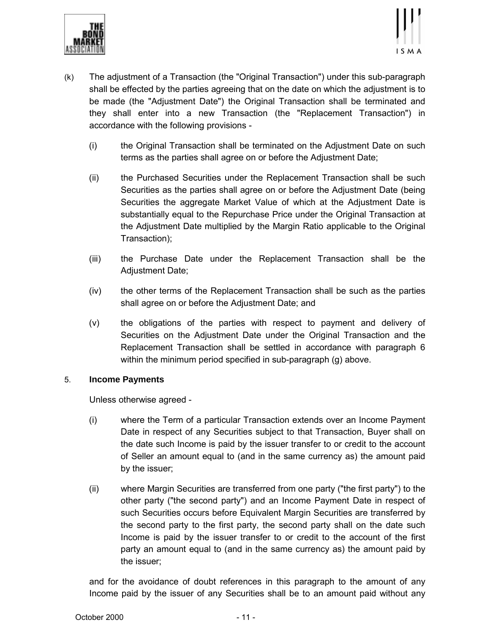

- (k) The adjustment of a Transaction (the "Original Transaction") under this sub-paragraph shall be effected by the parties agreeing that on the date on which the adjustment is to be made (the "Adjustment Date") the Original Transaction shall be terminated and they shall enter into a new Transaction (the "Replacement Transaction") in accordance with the following provisions -
	- (i) the Original Transaction shall be terminated on the Adjustment Date on such terms as the parties shall agree on or before the Adjustment Date;
	- (ii) the Purchased Securities under the Replacement Transaction shall be such Securities as the parties shall agree on or before the Adjustment Date (being Securities the aggregate Market Value of which at the Adjustment Date is substantially equal to the Repurchase Price under the Original Transaction at the Adjustment Date multiplied by the Margin Ratio applicable to the Original Transaction);
	- (iii) the Purchase Date under the Replacement Transaction shall be the Adjustment Date;
	- (iv) the other terms of the Replacement Transaction shall be such as the parties shall agree on or before the Adjustment Date; and
	- (v) the obligations of the parties with respect to payment and delivery of Securities on the Adjustment Date under the Original Transaction and the Replacement Transaction shall be settled in accordance with paragraph 6 within the minimum period specified in sub-paragraph (g) above.

#### 5. **Income Payments**

Unless otherwise agreed -

- (i) where the Term of a particular Transaction extends over an Income Payment Date in respect of any Securities subject to that Transaction, Buyer shall on the date such Income is paid by the issuer transfer to or credit to the account of Seller an amount equal to (and in the same currency as) the amount paid by the issuer;
- (ii) where Margin Securities are transferred from one party ("the first party") to the other party ("the second party") and an Income Payment Date in respect of such Securities occurs before Equivalent Margin Securities are transferred by the second party to the first party, the second party shall on the date such Income is paid by the issuer transfer to or credit to the account of the first party an amount equal to (and in the same currency as) the amount paid by the issuer;

and for the avoidance of doubt references in this paragraph to the amount of any Income paid by the issuer of any Securities shall be to an amount paid without any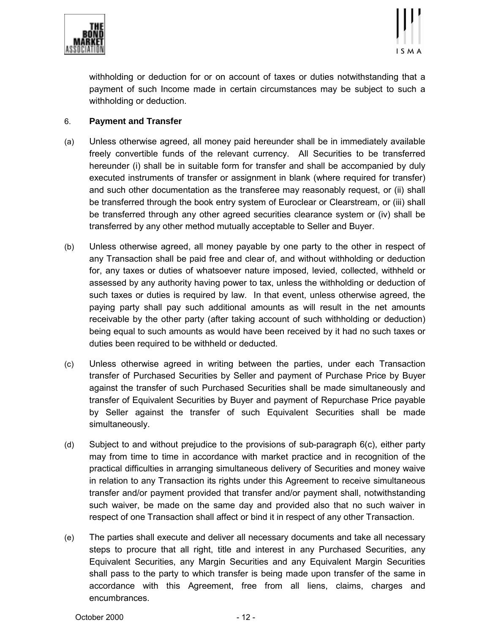

withholding or deduction for or on account of taxes or duties notwithstanding that a payment of such Income made in certain circumstances may be subject to such a withholding or deduction.

## 6. **Payment and Transfer**

- (a) Unless otherwise agreed, all money paid hereunder shall be in immediately available freely convertible funds of the relevant currency. All Securities to be transferred hereunder (i) shall be in suitable form for transfer and shall be accompanied by duly executed instruments of transfer or assignment in blank (where required for transfer) and such other documentation as the transferee may reasonably request, or (ii) shall be transferred through the book entry system of Euroclear or Clearstream, or (iii) shall be transferred through any other agreed securities clearance system or (iv) shall be transferred by any other method mutually acceptable to Seller and Buyer.
- (b) Unless otherwise agreed, all money payable by one party to the other in respect of any Transaction shall be paid free and clear of, and without withholding or deduction for, any taxes or duties of whatsoever nature imposed, levied, collected, withheld or assessed by any authority having power to tax, unless the withholding or deduction of such taxes or duties is required by law. In that event, unless otherwise agreed, the paying party shall pay such additional amounts as will result in the net amounts receivable by the other party (after taking account of such withholding or deduction) being equal to such amounts as would have been received by it had no such taxes or duties been required to be withheld or deducted.
- (c) Unless otherwise agreed in writing between the parties, under each Transaction transfer of Purchased Securities by Seller and payment of Purchase Price by Buyer against the transfer of such Purchased Securities shall be made simultaneously and transfer of Equivalent Securities by Buyer and payment of Repurchase Price payable by Seller against the transfer of such Equivalent Securities shall be made simultaneously.
- (d) Subject to and without prejudice to the provisions of sub-paragraph 6(c), either party may from time to time in accordance with market practice and in recognition of the practical difficulties in arranging simultaneous delivery of Securities and money waive in relation to any Transaction its rights under this Agreement to receive simultaneous transfer and/or payment provided that transfer and/or payment shall, notwithstanding such waiver, be made on the same day and provided also that no such waiver in respect of one Transaction shall affect or bind it in respect of any other Transaction.
- (e) The parties shall execute and deliver all necessary documents and take all necessary steps to procure that all right, title and interest in any Purchased Securities, any Equivalent Securities, any Margin Securities and any Equivalent Margin Securities shall pass to the party to which transfer is being made upon transfer of the same in accordance with this Agreement, free from all liens, claims, charges and encumbrances.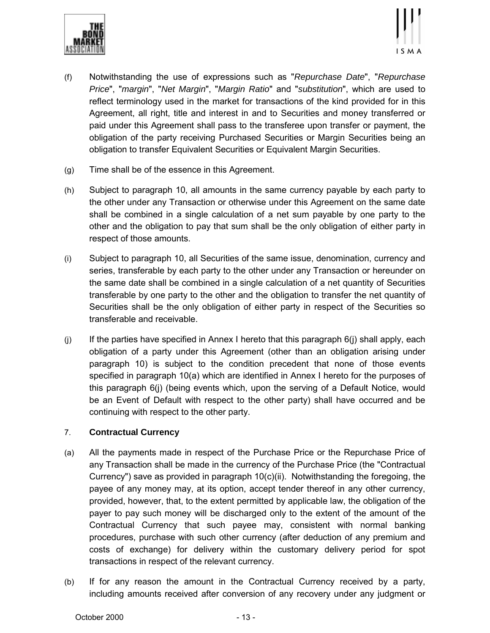

- (f) Notwithstanding the use of expressions such as "*Repurchase Date*", "*Repurchase Price*", "*margin*", "*Net Margin*", "*Margin Ratio*" and "*substitution*", which are used to reflect terminology used in the market for transactions of the kind provided for in this Agreement, all right, title and interest in and to Securities and money transferred or paid under this Agreement shall pass to the transferee upon transfer or payment, the obligation of the party receiving Purchased Securities or Margin Securities being an obligation to transfer Equivalent Securities or Equivalent Margin Securities.
- (g) Time shall be of the essence in this Agreement.
- (h) Subject to paragraph 10, all amounts in the same currency payable by each party to the other under any Transaction or otherwise under this Agreement on the same date shall be combined in a single calculation of a net sum payable by one party to the other and the obligation to pay that sum shall be the only obligation of either party in respect of those amounts.
- (i) Subject to paragraph 10, all Securities of the same issue, denomination, currency and series, transferable by each party to the other under any Transaction or hereunder on the same date shall be combined in a single calculation of a net quantity of Securities transferable by one party to the other and the obligation to transfer the net quantity of Securities shall be the only obligation of either party in respect of the Securities so transferable and receivable.
- $(i)$  If the parties have specified in Annex I hereto that this paragraph  $6(i)$  shall apply, each obligation of a party under this Agreement (other than an obligation arising under paragraph 10) is subject to the condition precedent that none of those events specified in paragraph 10(a) which are identified in Annex I hereto for the purposes of this paragraph 6(j) (being events which, upon the serving of a Default Notice, would be an Event of Default with respect to the other party) shall have occurred and be continuing with respect to the other party.

#### 7. **Contractual Currency**

- (a) All the payments made in respect of the Purchase Price or the Repurchase Price of any Transaction shall be made in the currency of the Purchase Price (the "Contractual Currency") save as provided in paragraph  $10(c)(ii)$ . Notwithstanding the foregoing, the payee of any money may, at its option, accept tender thereof in any other currency, provided, however, that, to the extent permitted by applicable law, the obligation of the payer to pay such money will be discharged only to the extent of the amount of the Contractual Currency that such payee may, consistent with normal banking procedures, purchase with such other currency (after deduction of any premium and costs of exchange) for delivery within the customary delivery period for spot transactions in respect of the relevant currency.
- (b) If for any reason the amount in the Contractual Currency received by a party, including amounts received after conversion of any recovery under any judgment or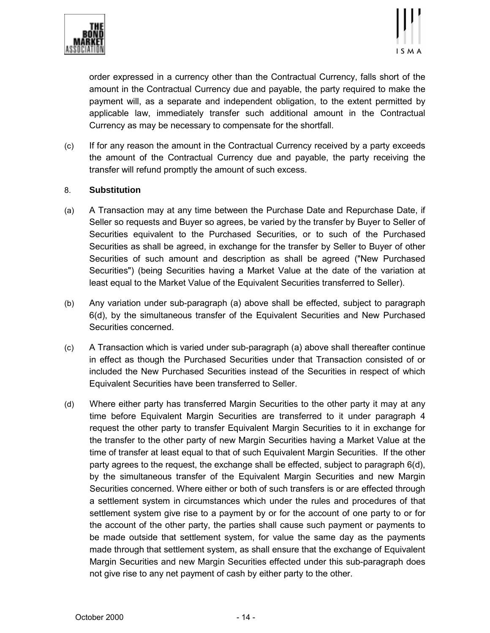

order expressed in a currency other than the Contractual Currency, falls short of the amount in the Contractual Currency due and payable, the party required to make the payment will, as a separate and independent obligation, to the extent permitted by applicable law, immediately transfer such additional amount in the Contractual Currency as may be necessary to compensate for the shortfall.

(c) If for any reason the amount in the Contractual Currency received by a party exceeds the amount of the Contractual Currency due and payable, the party receiving the transfer will refund promptly the amount of such excess.

#### 8. **Substitution**

- (a) A Transaction may at any time between the Purchase Date and Repurchase Date, if Seller so requests and Buyer so agrees, be varied by the transfer by Buyer to Seller of Securities equivalent to the Purchased Securities, or to such of the Purchased Securities as shall be agreed, in exchange for the transfer by Seller to Buyer of other Securities of such amount and description as shall be agreed ("New Purchased Securities") (being Securities having a Market Value at the date of the variation at least equal to the Market Value of the Equivalent Securities transferred to Seller).
- (b) Any variation under sub-paragraph (a) above shall be effected, subject to paragraph 6(d), by the simultaneous transfer of the Equivalent Securities and New Purchased Securities concerned.
- (c) A Transaction which is varied under sub-paragraph (a) above shall thereafter continue in effect as though the Purchased Securities under that Transaction consisted of or included the New Purchased Securities instead of the Securities in respect of which Equivalent Securities have been transferred to Seller.
- (d) Where either party has transferred Margin Securities to the other party it may at any time before Equivalent Margin Securities are transferred to it under paragraph 4 request the other party to transfer Equivalent Margin Securities to it in exchange for the transfer to the other party of new Margin Securities having a Market Value at the time of transfer at least equal to that of such Equivalent Margin Securities. If the other party agrees to the request, the exchange shall be effected, subject to paragraph 6(d), by the simultaneous transfer of the Equivalent Margin Securities and new Margin Securities concerned. Where either or both of such transfers is or are effected through a settlement system in circumstances which under the rules and procedures of that settlement system give rise to a payment by or for the account of one party to or for the account of the other party, the parties shall cause such payment or payments to be made outside that settlement system, for value the same day as the payments made through that settlement system, as shall ensure that the exchange of Equivalent Margin Securities and new Margin Securities effected under this sub-paragraph does not give rise to any net payment of cash by either party to the other.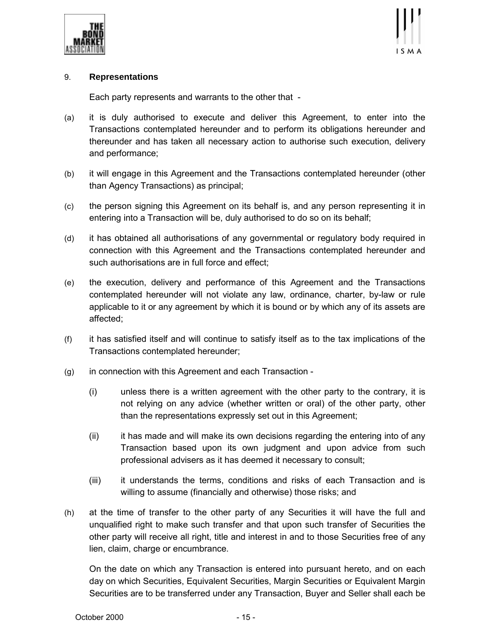

#### 9. **Representations**

Each party represents and warrants to the other that -

- (a) it is duly authorised to execute and deliver this Agreement, to enter into the Transactions contemplated hereunder and to perform its obligations hereunder and thereunder and has taken all necessary action to authorise such execution, delivery and performance;
- (b) it will engage in this Agreement and the Transactions contemplated hereunder (other than Agency Transactions) as principal;
- (c) the person signing this Agreement on its behalf is, and any person representing it in entering into a Transaction will be, duly authorised to do so on its behalf;
- (d) it has obtained all authorisations of any governmental or regulatory body required in connection with this Agreement and the Transactions contemplated hereunder and such authorisations are in full force and effect;
- (e) the execution, delivery and performance of this Agreement and the Transactions contemplated hereunder will not violate any law, ordinance, charter, by-law or rule applicable to it or any agreement by which it is bound or by which any of its assets are affected;
- (f) it has satisfied itself and will continue to satisfy itself as to the tax implications of the Transactions contemplated hereunder;
- (g) in connection with this Agreement and each Transaction
	- (i) unless there is a written agreement with the other party to the contrary, it is not relying on any advice (whether written or oral) of the other party, other than the representations expressly set out in this Agreement;
	- (ii) it has made and will make its own decisions regarding the entering into of any Transaction based upon its own judgment and upon advice from such professional advisers as it has deemed it necessary to consult;
	- (iii) it understands the terms, conditions and risks of each Transaction and is willing to assume (financially and otherwise) those risks; and
- (h) at the time of transfer to the other party of any Securities it will have the full and unqualified right to make such transfer and that upon such transfer of Securities the other party will receive all right, title and interest in and to those Securities free of any lien, claim, charge or encumbrance.

On the date on which any Transaction is entered into pursuant hereto, and on each day on which Securities, Equivalent Securities, Margin Securities or Equivalent Margin Securities are to be transferred under any Transaction, Buyer and Seller shall each be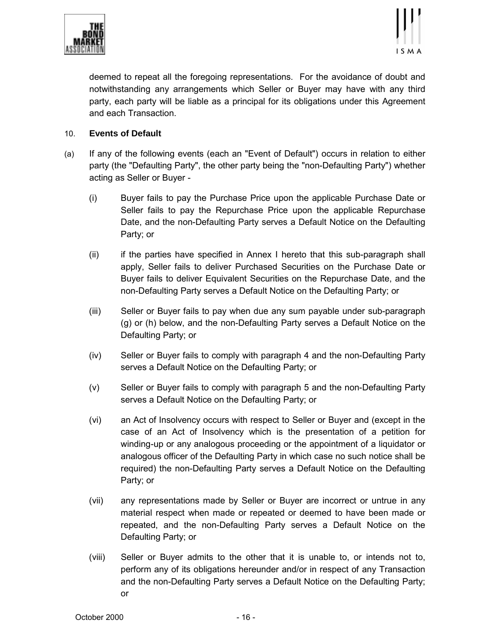

deemed to repeat all the foregoing representations. For the avoidance of doubt and notwithstanding any arrangements which Seller or Buyer may have with any third party, each party will be liable as a principal for its obligations under this Agreement and each Transaction.

## 10. **Events of Default**

- (a) If any of the following events (each an "Event of Default") occurs in relation to either party (the "Defaulting Party", the other party being the "non-Defaulting Party") whether acting as Seller or Buyer -
	- (i) Buyer fails to pay the Purchase Price upon the applicable Purchase Date or Seller fails to pay the Repurchase Price upon the applicable Repurchase Date, and the non-Defaulting Party serves a Default Notice on the Defaulting Party; or
	- (ii) if the parties have specified in Annex I hereto that this sub-paragraph shall apply, Seller fails to deliver Purchased Securities on the Purchase Date or Buyer fails to deliver Equivalent Securities on the Repurchase Date, and the non-Defaulting Party serves a Default Notice on the Defaulting Party; or
	- (iii) Seller or Buyer fails to pay when due any sum payable under sub-paragraph (g) or (h) below, and the non-Defaulting Party serves a Default Notice on the Defaulting Party; or
	- (iv) Seller or Buyer fails to comply with paragraph 4 and the non-Defaulting Party serves a Default Notice on the Defaulting Party; or
	- (v) Seller or Buyer fails to comply with paragraph 5 and the non-Defaulting Party serves a Default Notice on the Defaulting Party; or
	- (vi) an Act of Insolvency occurs with respect to Seller or Buyer and (except in the case of an Act of Insolvency which is the presentation of a petition for winding-up or any analogous proceeding or the appointment of a liquidator or analogous officer of the Defaulting Party in which case no such notice shall be required) the non-Defaulting Party serves a Default Notice on the Defaulting Party; or
	- (vii) any representations made by Seller or Buyer are incorrect or untrue in any material respect when made or repeated or deemed to have been made or repeated, and the non-Defaulting Party serves a Default Notice on the Defaulting Party; or
	- (viii) Seller or Buyer admits to the other that it is unable to, or intends not to, perform any of its obligations hereunder and/or in respect of any Transaction and the non-Defaulting Party serves a Default Notice on the Defaulting Party; or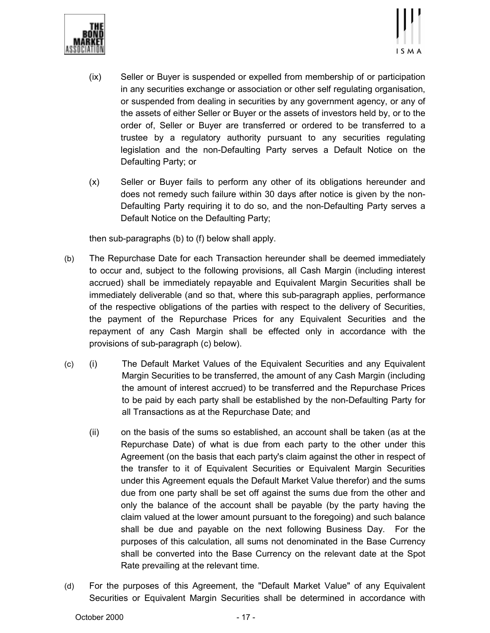

- (ix) Seller or Buyer is suspended or expelled from membership of or participation in any securities exchange or association or other self regulating organisation, or suspended from dealing in securities by any government agency, or any of the assets of either Seller or Buyer or the assets of investors held by, or to the order of, Seller or Buyer are transferred or ordered to be transferred to a trustee by a regulatory authority pursuant to any securities regulating legislation and the non-Defaulting Party serves a Default Notice on the Defaulting Party; or
- (x) Seller or Buyer fails to perform any other of its obligations hereunder and does not remedy such failure within 30 days after notice is given by the non-Defaulting Party requiring it to do so, and the non-Defaulting Party serves a Default Notice on the Defaulting Party;

then sub-paragraphs (b) to (f) below shall apply.

- (b) The Repurchase Date for each Transaction hereunder shall be deemed immediately to occur and, subject to the following provisions, all Cash Margin (including interest accrued) shall be immediately repayable and Equivalent Margin Securities shall be immediately deliverable (and so that, where this sub-paragraph applies, performance of the respective obligations of the parties with respect to the delivery of Securities, the payment of the Repurchase Prices for any Equivalent Securities and the repayment of any Cash Margin shall be effected only in accordance with the provisions of sub-paragraph (c) below).
- (c) (i) The Default Market Values of the Equivalent Securities and any Equivalent Margin Securities to be transferred, the amount of any Cash Margin (including the amount of interest accrued) to be transferred and the Repurchase Prices to be paid by each party shall be established by the non-Defaulting Party for all Transactions as at the Repurchase Date; and
	- (ii) on the basis of the sums so established, an account shall be taken (as at the Repurchase Date) of what is due from each party to the other under this Agreement (on the basis that each party's claim against the other in respect of the transfer to it of Equivalent Securities or Equivalent Margin Securities under this Agreement equals the Default Market Value therefor) and the sums due from one party shall be set off against the sums due from the other and only the balance of the account shall be payable (by the party having the claim valued at the lower amount pursuant to the foregoing) and such balance shall be due and payable on the next following Business Day. For the purposes of this calculation, all sums not denominated in the Base Currency shall be converted into the Base Currency on the relevant date at the Spot Rate prevailing at the relevant time.
- (d) For the purposes of this Agreement, the "Default Market Value" of any Equivalent Securities or Equivalent Margin Securities shall be determined in accordance with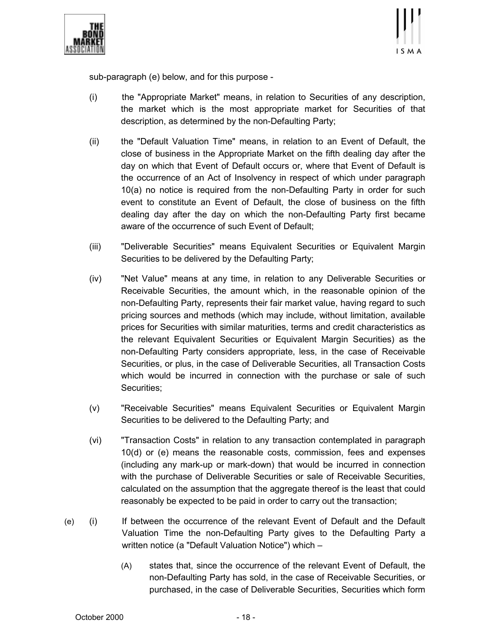

sub-paragraph (e) below, and for this purpose -

- (i) the "Appropriate Market" means, in relation to Securities of any description, the market which is the most appropriate market for Securities of that description, as determined by the non-Defaulting Party;
- (ii) the "Default Valuation Time" means, in relation to an Event of Default, the close of business in the Appropriate Market on the fifth dealing day after the day on which that Event of Default occurs or, where that Event of Default is the occurrence of an Act of Insolvency in respect of which under paragraph 10(a) no notice is required from the non-Defaulting Party in order for such event to constitute an Event of Default, the close of business on the fifth dealing day after the day on which the non-Defaulting Party first became aware of the occurrence of such Event of Default;
- (iii) "Deliverable Securitie*s*" means Equivalent Securities or Equivalent Margin Securities to be delivered by the Defaulting Party;
- (iv) "Net Value" means at any time, in relation to any Deliverable Securities or Receivable Securities, the amount which, in the reasonable opinion of the non-Defaulting Party, represents their fair market value, having regard to such pricing sources and methods (which may include, without limitation, available prices for Securities with similar maturities, terms and credit characteristics as the relevant Equivalent Securities or Equivalent Margin Securities) as the non-Defaulting Party considers appropriate, less, in the case of Receivable Securities, or plus, in the case of Deliverable Securities, all Transaction Costs which would be incurred in connection with the purchase or sale of such Securities;
- (v) "Receivable Securities" means Equivalent Securities or Equivalent Margin Securities to be delivered to the Defaulting Party; and
- (vi) "Transaction Costs" in relation to any transaction contemplated in paragraph 10(d) or (e) means the reasonable costs, commission, fees and expenses (including any mark-up or mark-down) that would be incurred in connection with the purchase of Deliverable Securities or sale of Receivable Securities, calculated on the assumption that the aggregate thereof is the least that could reasonably be expected to be paid in order to carry out the transaction;
- (e) (i) If between the occurrence of the relevant Event of Default and the Default Valuation Time the non-Defaulting Party gives to the Defaulting Party a written notice (a "Default Valuation Notice") which -
	- (A) states that, since the occurrence of the relevant Event of Default, the non-Defaulting Party has sold, in the case of Receivable Securities, or purchased, in the case of Deliverable Securities, Securities which form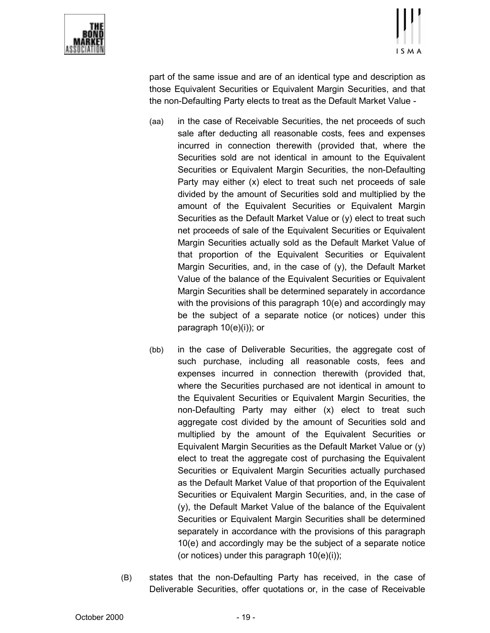part of the same issue and are of an identical type and description as those Equivalent Securities or Equivalent Margin Securities, and that the non-Defaulting Party elects to treat as the Default Market Value -

- (aa) in the case of Receivable Securities, the net proceeds of such sale after deducting all reasonable costs, fees and expenses incurred in connection therewith (provided that, where the Securities sold are not identical in amount to the Equivalent Securities or Equivalent Margin Securities, the non-Defaulting Party may either (x) elect to treat such net proceeds of sale divided by the amount of Securities sold and multiplied by the amount of the Equivalent Securities or Equivalent Margin Securities as the Default Market Value or (y) elect to treat such net proceeds of sale of the Equivalent Securities or Equivalent Margin Securities actually sold as the Default Market Value of that proportion of the Equivalent Securities or Equivalent Margin Securities, and, in the case of (y), the Default Market Value of the balance of the Equivalent Securities or Equivalent Margin Securities shall be determined separately in accordance with the provisions of this paragraph 10(e) and accordingly may be the subject of a separate notice (or notices) under this paragraph 10(e)(i)); or
- (bb) in the case of Deliverable Securities, the aggregate cost of such purchase, including all reasonable costs, fees and expenses incurred in connection therewith (provided that, where the Securities purchased are not identical in amount to the Equivalent Securities or Equivalent Margin Securities, the non-Defaulting Party may either (x) elect to treat such aggregate cost divided by the amount of Securities sold and multiplied by the amount of the Equivalent Securities or Equivalent Margin Securities as the Default Market Value or (y) elect to treat the aggregate cost of purchasing the Equivalent Securities or Equivalent Margin Securities actually purchased as the Default Market Value of that proportion of the Equivalent Securities or Equivalent Margin Securities, and, in the case of (y), the Default Market Value of the balance of the Equivalent Securities or Equivalent Margin Securities shall be determined separately in accordance with the provisions of this paragraph 10(e) and accordingly may be the subject of a separate notice (or notices) under this paragraph  $10(e)(i)$ ;
- (B) states that the non-Defaulting Party has received, in the case of Deliverable Securities, offer quotations or, in the case of Receivable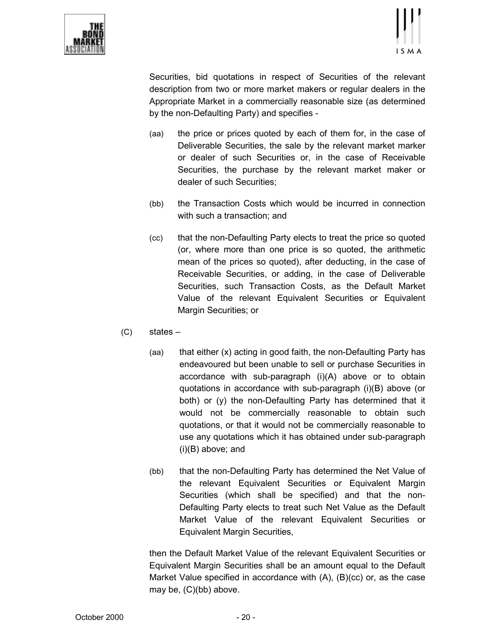

Securities, bid quotations in respect of Securities of the relevant description from two or more market makers or regular dealers in the Appropriate Market in a commercially reasonable size (as determined by the non-Defaulting Party) and specifies -

- (aa) the price or prices quoted by each of them for, in the case of Deliverable Securities, the sale by the relevant market marker or dealer of such Securities or, in the case of Receivable Securities, the purchase by the relevant market maker or dealer of such Securities;
- (bb) the Transaction Costs which would be incurred in connection with such a transaction; and
- (cc) that the non-Defaulting Party elects to treat the price so quoted (or, where more than one price is so quoted, the arithmetic mean of the prices so quoted), after deducting, in the case of Receivable Securities, or adding, in the case of Deliverable Securities, such Transaction Costs, as the Default Market Value of the relevant Equivalent Securities or Equivalent Margin Securities; or
- $(C)$  states
	- (aa) that either (x) acting in good faith, the non-Defaulting Party has endeavoured but been unable to sell or purchase Securities in accordance with sub-paragraph (i)(A) above or to obtain quotations in accordance with sub-paragraph (i)(B) above (or both) or (y) the non-Defaulting Party has determined that it would not be commercially reasonable to obtain such quotations, or that it would not be commercially reasonable to use any quotations which it has obtained under sub-paragraph (i)(B) above; and
	- (bb) that the non-Defaulting Party has determined the Net Value of the relevant Equivalent Securities or Equivalent Margin Securities (which shall be specified) and that the non-Defaulting Party elects to treat such Net Value as the Default Market Value of the relevant Equivalent Securities or Equivalent Margin Securities,

then the Default Market Value of the relevant Equivalent Securities or Equivalent Margin Securities shall be an amount equal to the Default Market Value specified in accordance with (A), (B)(cc) or, as the case may be, (C)(bb) above.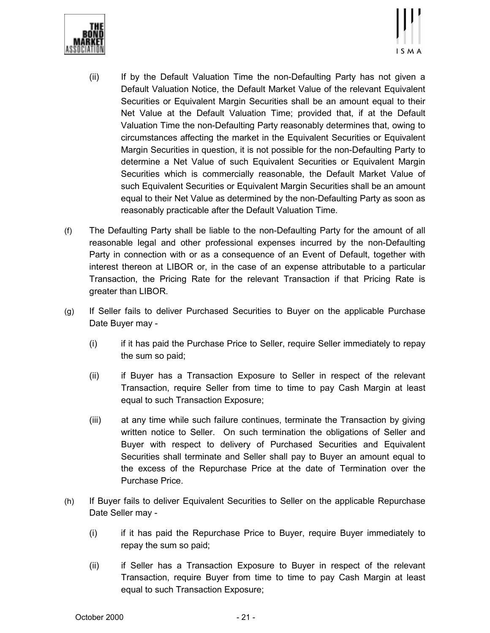



- (ii) If by the Default Valuation Time the non-Defaulting Party has not given a Default Valuation Notice, the Default Market Value of the relevant Equivalent Securities or Equivalent Margin Securities shall be an amount equal to their Net Value at the Default Valuation Time; provided that, if at the Default Valuation Time the non-Defaulting Party reasonably determines that, owing to circumstances affecting the market in the Equivalent Securities or Equivalent Margin Securities in question, it is not possible for the non-Defaulting Party to determine a Net Value of such Equivalent Securities or Equivalent Margin Securities which is commercially reasonable, the Default Market Value of such Equivalent Securities or Equivalent Margin Securities shall be an amount equal to their Net Value as determined by the non-Defaulting Party as soon as reasonably practicable after the Default Valuation Time.
- (f) The Defaulting Party shall be liable to the non-Defaulting Party for the amount of all reasonable legal and other professional expenses incurred by the non-Defaulting Party in connection with or as a consequence of an Event of Default, together with interest thereon at LIBOR or, in the case of an expense attributable to a particular Transaction, the Pricing Rate for the relevant Transaction if that Pricing Rate is greater than LIBOR.
- (g) If Seller fails to deliver Purchased Securities to Buyer on the applicable Purchase Date Buyer may -
	- (i) if it has paid the Purchase Price to Seller, require Seller immediately to repay the sum so paid;
	- (ii) if Buyer has a Transaction Exposure to Seller in respect of the relevant Transaction, require Seller from time to time to pay Cash Margin at least equal to such Transaction Exposure;
	- (iii) at any time while such failure continues, terminate the Transaction by giving written notice to Seller. On such termination the obligations of Seller and Buyer with respect to delivery of Purchased Securities and Equivalent Securities shall terminate and Seller shall pay to Buyer an amount equal to the excess of the Repurchase Price at the date of Termination over the Purchase Price.
- (h) If Buyer fails to deliver Equivalent Securities to Seller on the applicable Repurchase Date Seller may -
	- (i) if it has paid the Repurchase Price to Buyer, require Buyer immediately to repay the sum so paid;
	- (ii) if Seller has a Transaction Exposure to Buyer in respect of the relevant Transaction, require Buyer from time to time to pay Cash Margin at least equal to such Transaction Exposure;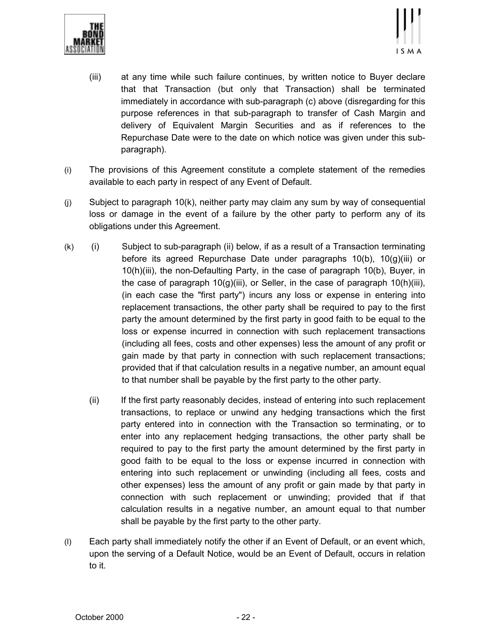

- (iii) at any time while such failure continues, by written notice to Buyer declare that that Transaction (but only that Transaction) shall be terminated immediately in accordance with sub-paragraph (c) above (disregarding for this purpose references in that sub-paragraph to transfer of Cash Margin and delivery of Equivalent Margin Securities and as if references to the Repurchase Date were to the date on which notice was given under this subparagraph).
- (i) The provisions of this Agreement constitute a complete statement of the remedies available to each party in respect of any Event of Default.
- (j) Subject to paragraph 10(k), neither party may claim any sum by way of consequential loss or damage in the event of a failure by the other party to perform any of its obligations under this Agreement.
- (k) (i) Subject to sub-paragraph (ii) below, if as a result of a Transaction terminating before its agreed Repurchase Date under paragraphs 10(b), 10(g)(iii) or 10(h)(iii), the non-Defaulting Party, in the case of paragraph 10(b), Buyer, in the case of paragraph  $10(q)(iii)$ , or Seller, in the case of paragraph  $10(h)(iii)$ , (in each case the "first party") incurs any loss or expense in entering into replacement transactions, the other party shall be required to pay to the first party the amount determined by the first party in good faith to be equal to the loss or expense incurred in connection with such replacement transactions (including all fees, costs and other expenses) less the amount of any profit or gain made by that party in connection with such replacement transactions; provided that if that calculation results in a negative number, an amount equal to that number shall be payable by the first party to the other party.
	- (ii) If the first party reasonably decides, instead of entering into such replacement transactions, to replace or unwind any hedging transactions which the first party entered into in connection with the Transaction so terminating, or to enter into any replacement hedging transactions, the other party shall be required to pay to the first party the amount determined by the first party in good faith to be equal to the loss or expense incurred in connection with entering into such replacement or unwinding (including all fees, costs and other expenses) less the amount of any profit or gain made by that party in connection with such replacement or unwinding; provided that if that calculation results in a negative number, an amount equal to that number shall be payable by the first party to the other party.
- (l) Each party shall immediately notify the other if an Event of Default, or an event which, upon the serving of a Default Notice, would be an Event of Default, occurs in relation to it.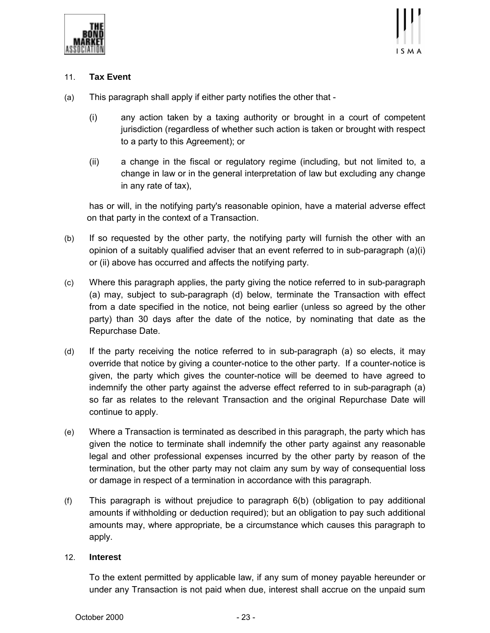

#### 11. **Tax Event**

- (a) This paragraph shall apply if either party notifies the other that
	- (i) any action taken by a taxing authority or brought in a court of competent jurisdiction (regardless of whether such action is taken or brought with respect to a party to this Agreement); or
	- (ii) a change in the fiscal or regulatory regime (including, but not limited to, a change in law or in the general interpretation of law but excluding any change in any rate of tax),

has or will, in the notifying party's reasonable opinion, have a material adverse effect on that party in the context of a Transaction.

- (b) If so requested by the other party, the notifying party will furnish the other with an opinion of a suitably qualified adviser that an event referred to in sub-paragraph (a)(i) or (ii) above has occurred and affects the notifying party.
- (c) Where this paragraph applies, the party giving the notice referred to in sub-paragraph (a) may, subject to sub-paragraph (d) below, terminate the Transaction with effect from a date specified in the notice, not being earlier (unless so agreed by the other party) than 30 days after the date of the notice, by nominating that date as the Repurchase Date.
- (d) If the party receiving the notice referred to in sub-paragraph (a) so elects, it may override that notice by giving a counter-notice to the other party. If a counter-notice is given, the party which gives the counter-notice will be deemed to have agreed to indemnify the other party against the adverse effect referred to in sub-paragraph (a) so far as relates to the relevant Transaction and the original Repurchase Date will continue to apply.
- (e) Where a Transaction is terminated as described in this paragraph, the party which has given the notice to terminate shall indemnify the other party against any reasonable legal and other professional expenses incurred by the other party by reason of the termination, but the other party may not claim any sum by way of consequential loss or damage in respect of a termination in accordance with this paragraph.
- (f) This paragraph is without prejudice to paragraph 6(b) (obligation to pay additional amounts if withholding or deduction required); but an obligation to pay such additional amounts may, where appropriate, be a circumstance which causes this paragraph to apply.

#### 12. **Interest**

To the extent permitted by applicable law, if any sum of money payable hereunder or under any Transaction is not paid when due, interest shall accrue on the unpaid sum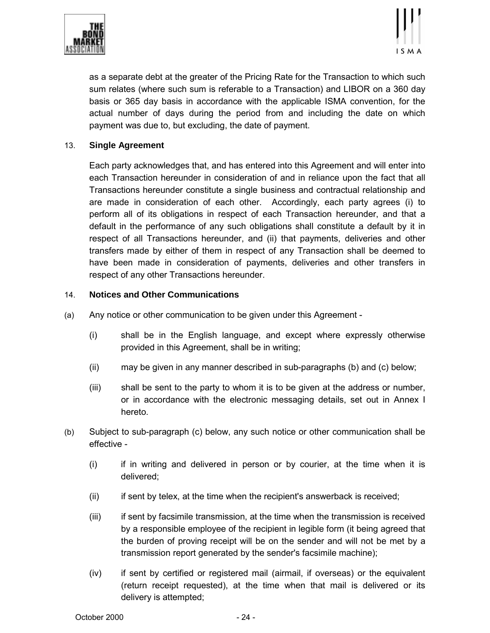

as a separate debt at the greater of the Pricing Rate for the Transaction to which such sum relates (where such sum is referable to a Transaction) and LIBOR on a 360 day basis or 365 day basis in accordance with the applicable ISMA convention, for the actual number of days during the period from and including the date on which payment was due to, but excluding, the date of payment.

#### 13. **Single Agreement**

Each party acknowledges that, and has entered into this Agreement and will enter into each Transaction hereunder in consideration of and in reliance upon the fact that all Transactions hereunder constitute a single business and contractual relationship and are made in consideration of each other. Accordingly, each party agrees (i) to perform all of its obligations in respect of each Transaction hereunder, and that a default in the performance of any such obligations shall constitute a default by it in respect of all Transactions hereunder, and (ii) that payments, deliveries and other transfers made by either of them in respect of any Transaction shall be deemed to have been made in consideration of payments, deliveries and other transfers in respect of any other Transactions hereunder.

#### 14. **Notices and Other Communications**

- (a) Any notice or other communication to be given under this Agreement
	- (i) shall be in the English language, and except where expressly otherwise provided in this Agreement, shall be in writing;
	- (ii) may be given in any manner described in sub-paragraphs (b) and (c) below;
	- (iii) shall be sent to the party to whom it is to be given at the address or number, or in accordance with the electronic messaging details, set out in Annex I hereto.
- (b) Subject to sub-paragraph (c) below, any such notice or other communication shall be effective -
	- (i) if in writing and delivered in person or by courier, at the time when it is delivered;
	- (ii) if sent by telex, at the time when the recipient's answerback is received;
	- (iii) if sent by facsimile transmission, at the time when the transmission is received by a responsible employee of the recipient in legible form (it being agreed that the burden of proving receipt will be on the sender and will not be met by a transmission report generated by the sender's facsimile machine);
	- (iv) if sent by certified or registered mail (airmail, if overseas) or the equivalent (return receipt requested), at the time when that mail is delivered or its delivery is attempted;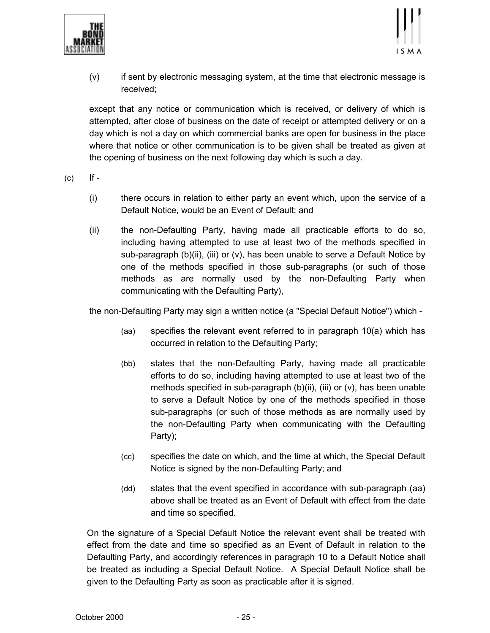

(v) if sent by electronic messaging system, at the time that electronic message is received;

except that any notice or communication which is received, or delivery of which is attempted, after close of business on the date of receipt or attempted delivery or on a day which is not a day on which commercial banks are open for business in the place where that notice or other communication is to be given shall be treated as given at the opening of business on the next following day which is such a day.

- $(c)$  If -
	- (i) there occurs in relation to either party an event which, upon the service of a Default Notice, would be an Event of Default; and
	- (ii) the non-Defaulting Party, having made all practicable efforts to do so, including having attempted to use at least two of the methods specified in sub-paragraph (b)(ii), (iii) or (v), has been unable to serve a Default Notice by one of the methods specified in those sub-paragraphs (or such of those methods as are normally used by the non-Defaulting Party when communicating with the Defaulting Party),

the non-Defaulting Party may sign a written notice (a "Special Default Notice") which -

- (aa) specifies the relevant event referred to in paragraph 10(a) which has occurred in relation to the Defaulting Party;
- (bb) states that the non-Defaulting Party, having made all practicable efforts to do so, including having attempted to use at least two of the methods specified in sub-paragraph (b)(ii), (iii) or (v), has been unable to serve a Default Notice by one of the methods specified in those sub-paragraphs (or such of those methods as are normally used by the non-Defaulting Party when communicating with the Defaulting Party);
- (cc) specifies the date on which, and the time at which, the Special Default Notice is signed by the non-Defaulting Party; and
- (dd) states that the event specified in accordance with sub-paragraph (aa) above shall be treated as an Event of Default with effect from the date and time so specified.

On the signature of a Special Default Notice the relevant event shall be treated with effect from the date and time so specified as an Event of Default in relation to the Defaulting Party, and accordingly references in paragraph 10 to a Default Notice shall be treated as including a Special Default Notice. A Special Default Notice shall be given to the Defaulting Party as soon as practicable after it is signed.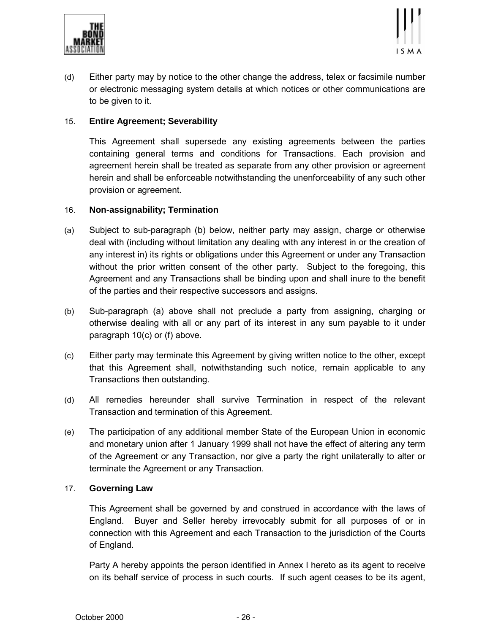

(d) Either party may by notice to the other change the address, telex or facsimile number or electronic messaging system details at which notices or other communications are to be given to it.

#### 15. **Entire Agreement; Severability**

This Agreement shall supersede any existing agreements between the parties containing general terms and conditions for Transactions. Each provision and agreement herein shall be treated as separate from any other provision or agreement herein and shall be enforceable notwithstanding the unenforceability of any such other provision or agreement.

#### 16. **Non-assignability; Termination**

- (a) Subject to sub-paragraph (b) below, neither party may assign, charge or otherwise deal with (including without limitation any dealing with any interest in or the creation of any interest in) its rights or obligations under this Agreement or under any Transaction without the prior written consent of the other party. Subject to the foregoing, this Agreement and any Transactions shall be binding upon and shall inure to the benefit of the parties and their respective successors and assigns.
- (b) Sub-paragraph (a) above shall not preclude a party from assigning, charging or otherwise dealing with all or any part of its interest in any sum payable to it under paragraph 10(c) or (f) above.
- (c) Either party may terminate this Agreement by giving written notice to the other, except that this Agreement shall, notwithstanding such notice, remain applicable to any Transactions then outstanding.
- (d) All remedies hereunder shall survive Termination in respect of the relevant Transaction and termination of this Agreement.
- (e) The participation of any additional member State of the European Union in economic and monetary union after 1 January 1999 shall not have the effect of altering any term of the Agreement or any Transaction, nor give a party the right unilaterally to alter or terminate the Agreement or any Transaction.

#### 17. **Governing Law**

This Agreement shall be governed by and construed in accordance with the laws of England. Buyer and Seller hereby irrevocably submit for all purposes of or in connection with this Agreement and each Transaction to the jurisdiction of the Courts of England.

Party A hereby appoints the person identified in Annex I hereto as its agent to receive on its behalf service of process in such courts. If such agent ceases to be its agent,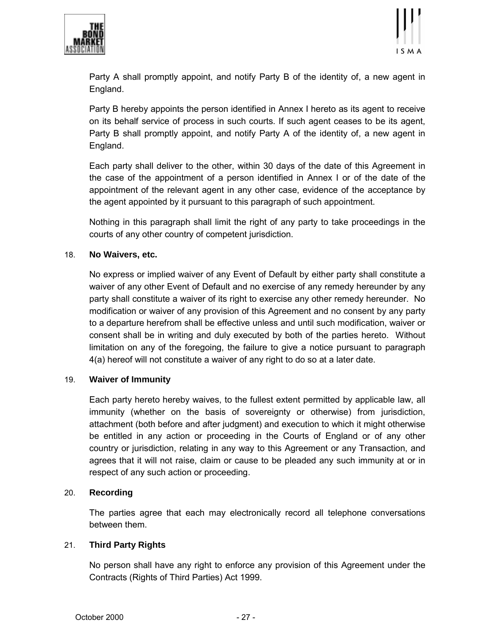

Party A shall promptly appoint, and notify Party B of the identity of, a new agent in England.

Party B hereby appoints the person identified in Annex I hereto as its agent to receive on its behalf service of process in such courts. If such agent ceases to be its agent, Party B shall promptly appoint, and notify Party A of the identity of, a new agent in England.

Each party shall deliver to the other, within 30 days of the date of this Agreement in the case of the appointment of a person identified in Annex I or of the date of the appointment of the relevant agent in any other case, evidence of the acceptance by the agent appointed by it pursuant to this paragraph of such appointment.

Nothing in this paragraph shall limit the right of any party to take proceedings in the courts of any other country of competent jurisdiction.

# 18. **No Waivers, etc.**

No express or implied waiver of any Event of Default by either party shall constitute a waiver of any other Event of Default and no exercise of any remedy hereunder by any party shall constitute a waiver of its right to exercise any other remedy hereunder. No modification or waiver of any provision of this Agreement and no consent by any party to a departure herefrom shall be effective unless and until such modification, waiver or consent shall be in writing and duly executed by both of the parties hereto. Without limitation on any of the foregoing, the failure to give a notice pursuant to paragraph 4(a) hereof will not constitute a waiver of any right to do so at a later date.

#### 19. **Waiver of Immunity**

Each party hereto hereby waives, to the fullest extent permitted by applicable law, all immunity (whether on the basis of sovereignty or otherwise) from jurisdiction, attachment (both before and after judgment) and execution to which it might otherwise be entitled in any action or proceeding in the Courts of England or of any other country or jurisdiction, relating in any way to this Agreement or any Transaction, and agrees that it will not raise, claim or cause to be pleaded any such immunity at or in respect of any such action or proceeding.

#### 20. **Recording**

The parties agree that each may electronically record all telephone conversations between them.

#### 21. **Third Party Rights**

No person shall have any right to enforce any provision of this Agreement under the Contracts (Rights of Third Parties) Act 1999.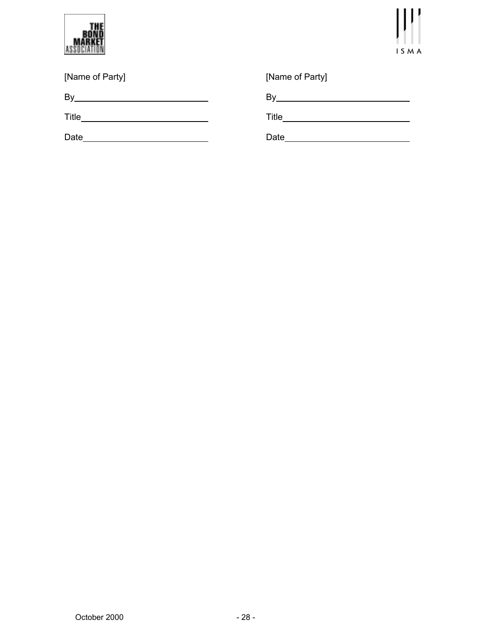

 $III$ 

| [Name of Party]                                                                                                                                                                                                                            | [Name of Party] |
|--------------------------------------------------------------------------------------------------------------------------------------------------------------------------------------------------------------------------------------------|-----------------|
| By<br><u>and the state of the state of the state of the state of the state of the state of the state of the state of the state of the state of the state of the state of the state of the state of the state of the state of the state</u> | Βv              |
| Title                                                                                                                                                                                                                                      | Title           |
| Date                                                                                                                                                                                                                                       | Date            |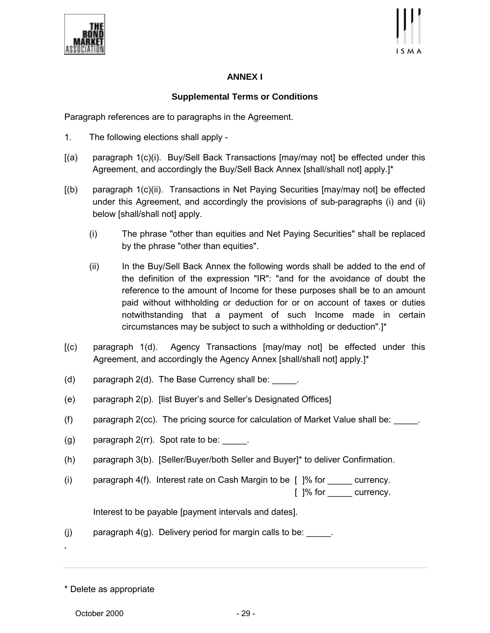

#### **ANNEX I**

#### **Supplemental Terms or Conditions**

Paragraph references are to paragraphs in the Agreement.

- 1. The following elections shall apply -
- [(a) paragraph 1(c)(i). Buy/Sell Back Transactions [may/may not] be effected under this Agreement, and accordingly the Buy/Sell Back Annex [shall/shall not] apply.]\*
- [(b) paragraph 1(c)(ii). Transactions in Net Paying Securities [may/may not] be effected under this Agreement, and accordingly the provisions of sub-paragraphs (i) and (ii) below [shall/shall not] apply.
	- (i) The phrase "other than equities and Net Paying Securities" shall be replaced by the phrase "other than equities".
	- (ii) In the Buy/Sell Back Annex the following words shall be added to the end of the definition of the expression "IR": "and for the avoidance of doubt the reference to the amount of Income for these purposes shall be to an amount paid without withholding or deduction for or on account of taxes or duties notwithstanding that a payment of such Income made in certain circumstances may be subject to such a withholding or deduction".]\*
- [(c) paragraph 1(d). Agency Transactions [may/may not] be effected under this Agreement, and accordingly the Agency Annex [shall/shall not] apply.]\*
- (d) paragraph 2(d). The Base Currency shall be:
- (e) paragraph 2(p). [list Buyer's and Seller's Designated Offices]
- (f) paragraph 2(cc). The pricing source for calculation of Market Value shall be: \_\_\_\_\_.
- $(g)$  paragraph  $2$ (rr). Spot rate to be:
- (h) paragraph 3(b). [Seller/Buyer/both Seller and Buyer]\* to deliver Confirmation.
- (i) paragraph 4(f). Interest rate on Cash Margin to be [ ]% for \_\_\_\_\_ currency. [ ]% for currency.

Interest to be payable [payment intervals and dates].

(i) paragraph  $4(g)$ . Delivery period for margin calls to be:  $\qquad \qquad$ .

\*

<sup>\*</sup> Delete as appropriate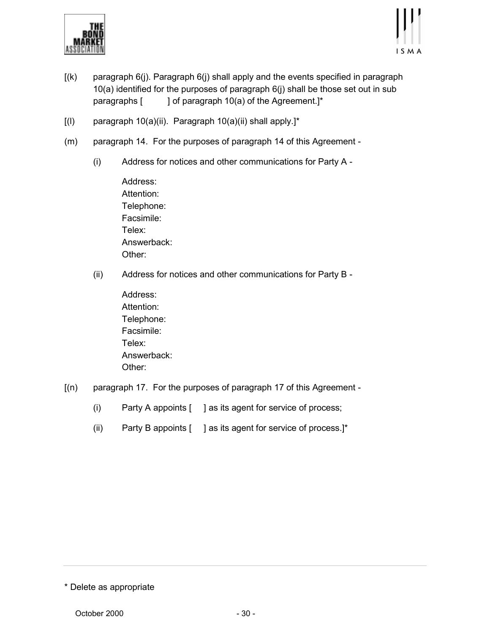

- $[(k)$  paragraph 6(j). Paragraph 6(j) shall apply and the events specified in paragraph 10(a) identified for the purposes of paragraph 6(j) shall be those set out in sub paragraphs  $[$  ] of paragraph 10(a) of the Agreement.]\*
- $[(1)$  paragraph 10(a)(ii). Paragraph 10(a)(ii) shall apply.]\*
- (m) paragraph 14. For the purposes of paragraph 14 of this Agreement
	- (i) Address for notices and other communications for Party A
		- Address: Attention: Telephone: Facsimile: Telex: Answerback: Other:
	- (ii) Address for notices and other communications for Party B
		- Address: Attention: Telephone: Facsimile: Telex: Answerback: Other:
- [(n) paragraph 17. For the purposes of paragraph 17 of this Agreement
	- (i) Party A appoints [ ] as its agent for service of process;
	- (ii) Party B appoints  $[$  ] as its agent for service of process.]\*

<sup>\*</sup> Delete as appropriate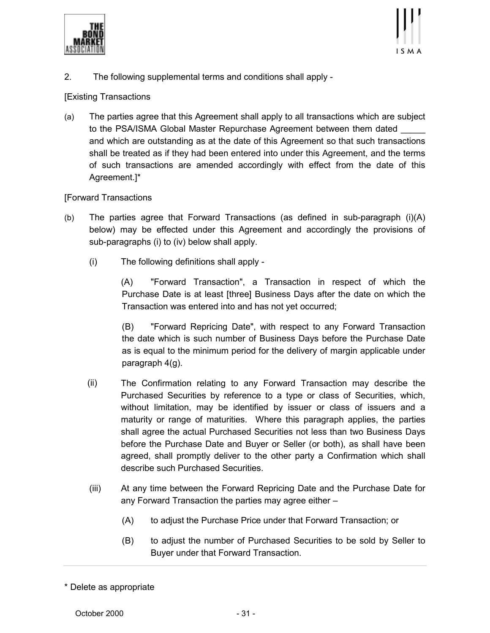

## 2. The following supplemental terms and conditions shall apply -

#### [Existing Transactions

(a) The parties agree that this Agreement shall apply to all transactions which are subject to the PSA/ISMA Global Master Repurchase Agreement between them dated and which are outstanding as at the date of this Agreement so that such transactions shall be treated as if they had been entered into under this Agreement, and the terms of such transactions are amended accordingly with effect from the date of this Agreement.]\*

#### [Forward Transactions

- (b) The parties agree that Forward Transactions (as defined in sub-paragraph (i)(A) below) may be effected under this Agreement and accordingly the provisions of sub-paragraphs (i) to (iv) below shall apply.
	- (i) The following definitions shall apply -

(A) "Forward Transaction", a Transaction in respect of which the Purchase Date is at least [three] Business Days after the date on which the Transaction was entered into and has not yet occurred;

(B) "Forward Repricing Date", with respect to any Forward Transaction the date which is such number of Business Days before the Purchase Date as is equal to the minimum period for the delivery of margin applicable under paragraph 4(g).

- The Confirmation relating to any Forward Transaction may describe the Purchased Securities by reference to a type or class of Securities, which, without limitation, may be identified by issuer or class of issuers and a maturity or range of maturities. Where this paragraph applies, the parties shall agree the actual Purchased Securities not less than two Business Days before the Purchase Date and Buyer or Seller (or both), as shall have been agreed, shall promptly deliver to the other party a Confirmation which shall describe such Purchased Securities. \* (ii)
- (iii) At any time between the Forward Repricing Date and the Purchase Date for any Forward Transaction the parties may agree either  $-$ 
	- (A) to adjust the Purchase Price under that Forward Transaction; or
	- (B) to adjust the number of Purchased Securities to be sold by Seller to Buyer under that Forward Transaction.

<sup>\*</sup> Delete as appropriate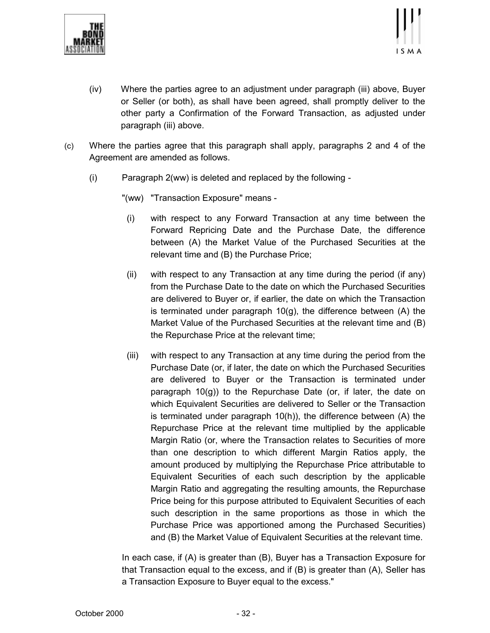

- (iv) Where the parties agree to an adjustment under paragraph (iii) above, Buyer or Seller (or both), as shall have been agreed, shall promptly deliver to the other party a Confirmation of the Forward Transaction, as adjusted under paragraph (iii) above.
- (c) Where the parties agree that this paragraph shall apply, paragraphs 2 and 4 of the Agreement are amended as follows.
	- (i) Paragraph 2(ww) is deleted and replaced by the following
		- "(ww) "Transaction Exposure" means -
		- (i) with respect to any Forward Transaction at any time between the Forward Repricing Date and the Purchase Date, the difference between (A) the Market Value of the Purchased Securities at the relevant time and (B) the Purchase Price;
		- (ii) with respect to any Transaction at any time during the period (if any) from the Purchase Date to the date on which the Purchased Securities are delivered to Buyer or, if earlier, the date on which the Transaction is terminated under paragraph 10(g), the difference between (A) the Market Value of the Purchased Securities at the relevant time and (B) the Repurchase Price at the relevant time;
		- (iii) with respect to any Transaction at any time during the period from the Purchase Date (or, if later, the date on which the Purchased Securities are delivered to Buyer or the Transaction is terminated under paragraph 10(g)) to the Repurchase Date (or, if later, the date on which Equivalent Securities are delivered to Seller or the Transaction is terminated under paragraph 10(h)), the difference between (A) the Repurchase Price at the relevant time multiplied by the applicable Margin Ratio (or, where the Transaction relates to Securities of more than one description to which different Margin Ratios apply, the amount produced by multiplying the Repurchase Price attributable to Equivalent Securities of each such description by the applicable Margin Ratio and aggregating the resulting amounts, the Repurchase Price being for this purpose attributed to Equivalent Securities of each such description in the same proportions as those in which the Purchase Price was apportioned among the Purchased Securities) and (B) the Market Value of Equivalent Securities at the relevant time.

In each case, if (A) is greater than (B), Buyer has a Transaction Exposure for that Transaction equal to the excess, and if (B) is greater than (A), Seller has a Transaction Exposure to Buyer equal to the excess."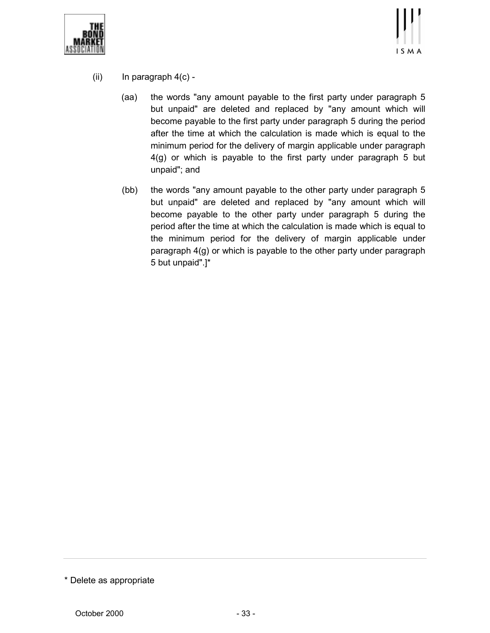

- $(ii)$  In paragraph  $4(c)$  -
	- (aa) the words "any amount payable to the first party under paragraph 5 but unpaid" are deleted and replaced by "any amount which will become payable to the first party under paragraph 5 during the period after the time at which the calculation is made which is equal to the minimum period for the delivery of margin applicable under paragraph 4(g) or which is payable to the first party under paragraph 5 but unpaid"; and
	- (bb) the words "any amount payable to the other party under paragraph 5 but unpaid" are deleted and replaced by "any amount which will become payable to the other party under paragraph 5 during the period after the time at which the calculation is made which is equal to the minimum period for the delivery of margin applicable under paragraph 4(g) or which is payable to the other party under paragraph 5 but unpaid".]\* <sup>∗</sup>

<sup>\*</sup> Delete as appropriate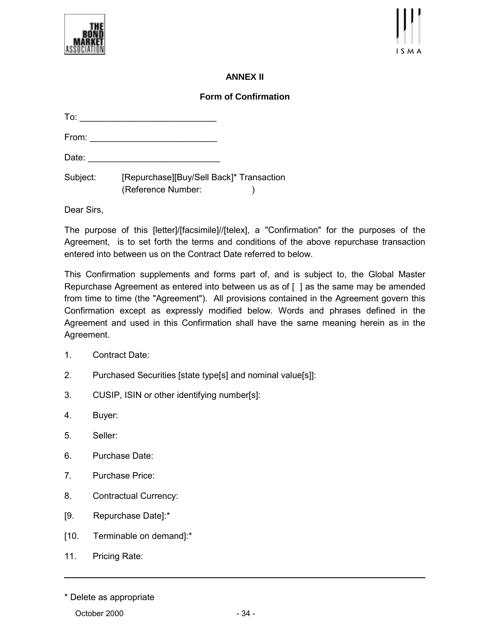

# **ANNEX II**

# **Form of Confirmation**

| To:      |                                                                |
|----------|----------------------------------------------------------------|
| From:    |                                                                |
| Date:    |                                                                |
| Subject: | [Repurchase][Buy/Sell Back]* Transaction<br>(Reference Number: |

Dear Sirs,

The purpose of this [letter]/[facsimile]//[telex], a "Confirmation" for the purposes of the Agreement, is to set forth the terms and conditions of the above repurchase transaction entered into between us on the Contract Date referred to below.

This Confirmation supplements and forms part of, and is subject to, the Global Master Repurchase Agreement as entered into between us as of [ ] as the same may be amended from time to time (the "Agreement"). All provisions contained in the Agreement govern this Confirmation except as expressly modified below. Words and phrases defined in the Agreement and used in this Confirmation shall have the same meaning herein as in the Agreement.

- 1. Contract Date:
- 2. Purchased Securities [state type[s] and nominal value[s]]:
- 3. CUSIP, ISIN or other identifying number[s]:
- 4. Buyer:
- 5. Seller:
- 6. Purchase Date:
- 7. Purchase Price:
- 8. Contractual Currency:
- [9. Repurchase Date]:\*
- [10. Terminable on demand]:\*
- 11. Pricing Rate:

 $\overline{a}$ 

<sup>\*</sup> Delete as appropriate